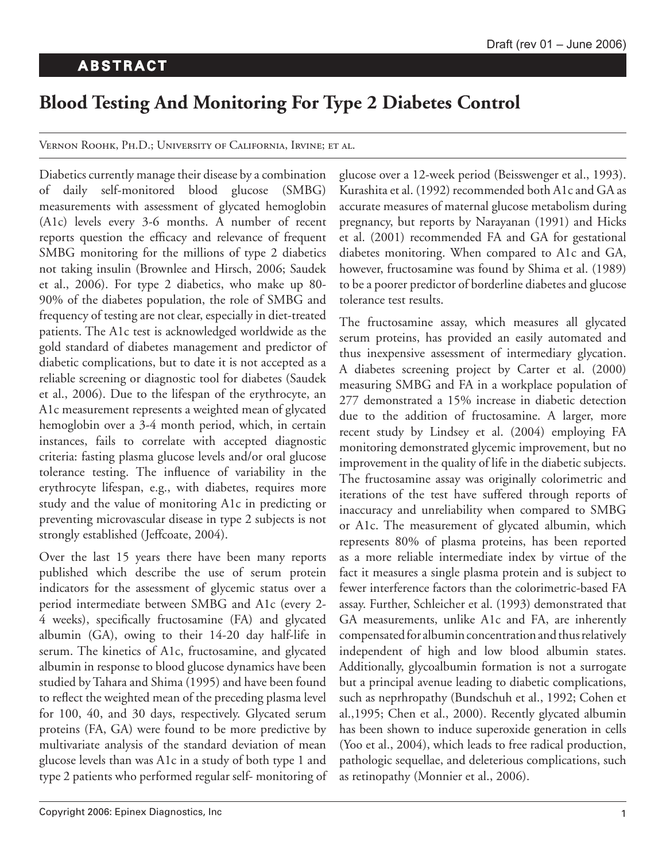## **Blood Testing And Monitoring For Type 2 Diabetes Control**

VERNON ROOHK, PH.D.; UNIVERSITY OF CALIFORNIA, IRVINE; ET AL.

Diabetics currently manage their disease by a combination of daily self-monitored blood glucose (SMBG) measurements with assessment of glycated hemoglobin (A1c) levels every 3-6 months. A number of recent reports question the efficacy and relevance of frequent SMBG monitoring for the millions of type 2 diabetics not taking insulin (Brownlee and Hirsch, 2006; Saudek et al., 2006). For type 2 diabetics, who make up 80- 90% of the diabetes population, the role of SMBG and frequency of testing are not clear, especially in diet-treated patients. The A1c test is acknowledged worldwide as the gold standard of diabetes management and predictor of diabetic complications, but to date it is not accepted as a reliable screening or diagnostic tool for diabetes (Saudek et al., 2006). Due to the lifespan of the erythrocyte, an A1c measurement represents a weighted mean of glycated hemoglobin over a 3-4 month period, which, in certain instances, fails to correlate with accepted diagnostic criteria: fasting plasma glucose levels and/or oral glucose tolerance testing. The influence of variability in the erythrocyte lifespan, e.g., with diabetes, requires more study and the value of monitoring A1c in predicting or preventing microvascular disease in type 2 subjects is not strongly established (Jeffcoate, 2004).

Over the last 15 years there have been many reports published which describe the use of serum protein indicators for the assessment of glycemic status over a period intermediate between SMBG and A1c (every 2- 4 weeks), specifically fructosamine (FA) and glycated albumin (GA), owing to their 14-20 day half-life in serum. The kinetics of A1c, fructosamine, and glycated albumin in response to blood glucose dynamics have been studied by Tahara and Shima (1995) and have been found to reflect the weighted mean of the preceding plasma level for 100, 40, and 30 days, respectively. Glycated serum proteins (FA, GA) were found to be more predictive by multivariate analysis of the standard deviation of mean glucose levels than was A1c in a study of both type 1 and type 2 patients who performed regular self- monitoring of glucose over a 12-week period (Beisswenger et al., 1993). Kurashita et al. (1992) recommended both A1c and GA as accurate measures of maternal glucose metabolism during pregnancy, but reports by Narayanan (1991) and Hicks et al. (2001) recommended FA and GA for gestational diabetes monitoring. When compared to A1c and GA, however, fructosamine was found by Shima et al. (1989) to be a poorer predictor of borderline diabetes and glucose tolerance test results.

The fructosamine assay, which measures all glycated serum proteins, has provided an easily automated and thus inexpensive assessment of intermediary glycation. A diabetes screening project by Carter et al. (2000) measuring SMBG and FA in a workplace population of 277 demonstrated a 15% increase in diabetic detection due to the addition of fructosamine. A larger, more recent study by Lindsey et al. (2004) employing FA monitoring demonstrated glycemic improvement, but no improvement in the quality of life in the diabetic subjects. The fructosamine assay was originally colorimetric and iterations of the test have suffered through reports of inaccuracy and unreliability when compared to SMBG or A1c. The measurement of glycated albumin, which represents 80% of plasma proteins, has been reported as a more reliable intermediate index by virtue of the fact it measures a single plasma protein and is subject to fewer interference factors than the colorimetric-based FA assay. Further, Schleicher et al. (1993) demonstrated that GA measurements, unlike A1c and FA, are inherently compensated for albumin concentration and thus relatively independent of high and low blood albumin states. Additionally, glycoalbumin formation is not a surrogate but a principal avenue leading to diabetic complications, such as neprhropathy (Bundschuh et al., 1992; Cohen et al.,1995; Chen et al., 2000). Recently glycated albumin has been shown to induce superoxide generation in cells (Yoo et al., 2004), which leads to free radical production, pathologic sequellae, and deleterious complications, such as retinopathy (Monnier et al., 2006).